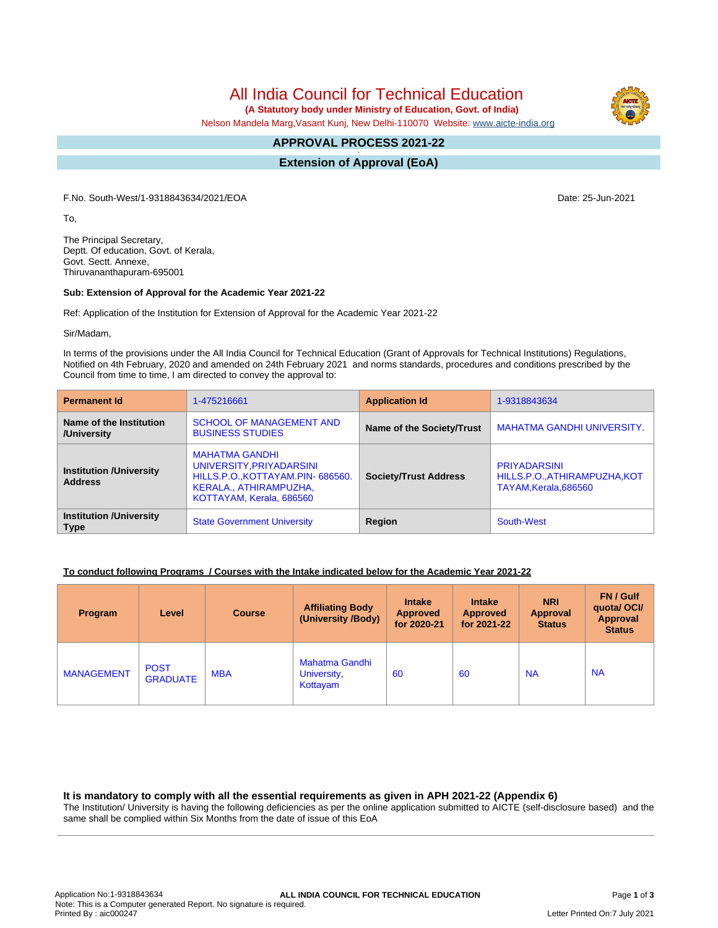All India Council for Technical Education

 **(A Statutory body under Ministry of Education, Govt. of India)**

Nelson Mandela Marg,Vasant Kunj, New Delhi-110070 Website: [www.aicte-india.org](http://www.aicte-india.org)

#### **APPROVAL PROCESS 2021-22 -**

**Extension of Approval (EoA)**

F.No. South-West/1-9318843634/2021/EOA Date: 25-Jun-2021

To,

The Principal Secretary, Deptt. Of education, Govt. of Kerala, Govt. Sectt. Annexe, Thiruvananthapuram-695001

### **Sub: Extension of Approval for the Academic Year 2021-22**

Ref: Application of the Institution for Extension of Approval for the Academic Year 2021-22

Sir/Madam,

In terms of the provisions under the All India Council for Technical Education (Grant of Approvals for Technical Institutions) Regulations, Notified on 4th February, 2020 and amended on 24th February 2021 and norms standards, procedures and conditions prescribed by the Council from time to time, I am directed to convey the approval to:

| <b>Permanent Id</b>                              | 1-475216661                                                                                                                                 | <b>Application Id</b>        | 1-9318843634                                                                  |  |
|--------------------------------------------------|---------------------------------------------------------------------------------------------------------------------------------------------|------------------------------|-------------------------------------------------------------------------------|--|
| Name of the Institution<br>/University           | <b>SCHOOL OF MANAGEMENT AND</b><br><b>BUSINESS STUDIES</b>                                                                                  | Name of the Society/Trust    | <b>MAHATMA GANDHI UNIVERSITY.</b>                                             |  |
| <b>Institution /University</b><br><b>Address</b> | <b>MAHATMA GANDHI</b><br>UNIVERSITY, PRIYADARSINI<br>HILLS.P.O., KOTTAYAM.PIN-686560.<br>KERALA., ATHIRAMPUZHA,<br>KOTTAYAM, Kerala, 686560 | <b>Society/Trust Address</b> | <b>PRIYADARSINI</b><br>HILLS.P.O., ATHIRAMPUZHA, KOT<br>TAYAM, Kerala, 686560 |  |
| <b>Institution /University</b><br><b>Type</b>    | <b>State Government University</b>                                                                                                          | Region                       | South-West                                                                    |  |

# **To conduct following Programs / Courses with the Intake indicated below for the Academic Year 2021-22**

| Program           | Level                          | <b>Course</b> | <b>Affiliating Body</b><br>(University /Body) | <b>Intake</b><br><b>Approved</b><br>for 2020-21 | <b>Intake</b><br><b>Approved</b><br>for 2021-22 | <b>NRI</b><br>Approval<br><b>Status</b> | <b>FN/Gulf</b><br>quotal OCI/<br>Approval<br><b>Status</b> |
|-------------------|--------------------------------|---------------|-----------------------------------------------|-------------------------------------------------|-------------------------------------------------|-----------------------------------------|------------------------------------------------------------|
| <b>MANAGEMENT</b> | <b>POST</b><br><b>GRADUATE</b> | <b>MBA</b>    | Mahatma Gandhi<br>University,<br>Kottayam     | 60                                              | 60                                              | <b>NA</b>                               | <b>NA</b>                                                  |

#### **It is mandatory to comply with all the essential requirements as given in APH 2021-22 (Appendix 6)**

The Institution/ University is having the following deficiencies as per the online application submitted to AICTE (self-disclosure based) and the same shall be complied within Six Months from the date of issue of this EoA

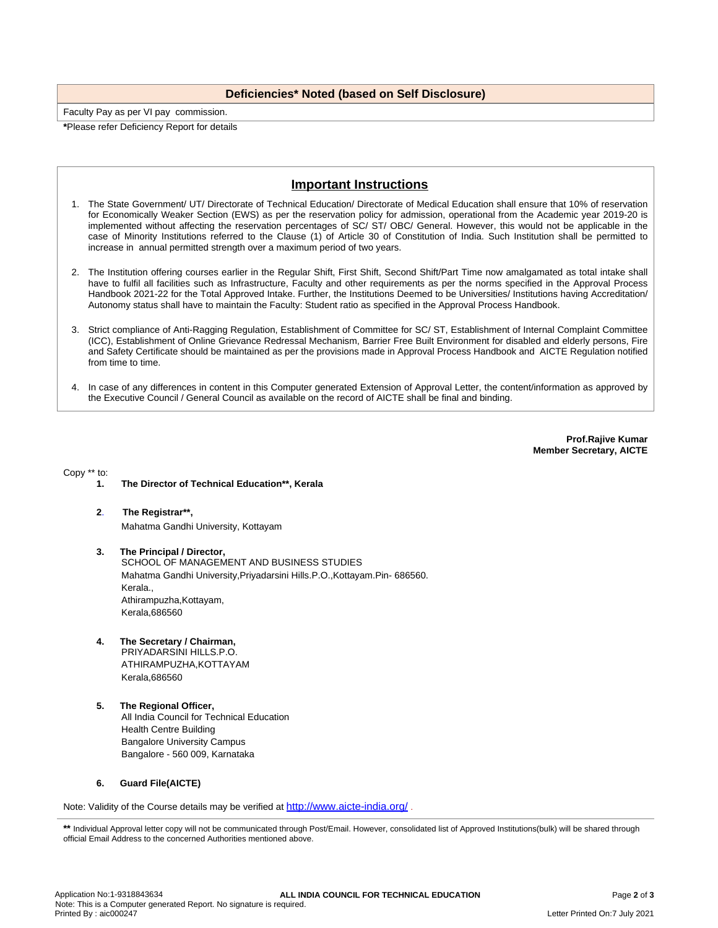# **Deficiencies\* Noted (based on Self Disclosure)**

Faculty Pay as per VI pay commission. **\***Please refer Deficiency Report for details

# **Important Instructions**

- 1. The State Government/ UT/ Directorate of Technical Education/ Directorate of Medical Education shall ensure that 10% of reservation for Economically Weaker Section (EWS) as per the reservation policy for admission, operational from the Academic year 2019-20 is implemented without affecting the reservation percentages of SC/ ST/ OBC/ General. However, this would not be applicable in the case of Minority Institutions referred to the Clause (1) of Article 30 of Constitution of India. Such Institution shall be permitted to increase in annual permitted strength over a maximum period of two years.
- 2. The Institution offering courses earlier in the Regular Shift, First Shift, Second Shift/Part Time now amalgamated as total intake shall have to fulfil all facilities such as Infrastructure, Faculty and other requirements as per the norms specified in the Approval Process Handbook 2021-22 for the Total Approved Intake. Further, the Institutions Deemed to be Universities/ Institutions having Accreditation/ Autonomy status shall have to maintain the Faculty: Student ratio as specified in the Approval Process Handbook.
- 3. Strict compliance of Anti-Ragging Regulation, Establishment of Committee for SC/ ST, Establishment of Internal Complaint Committee (ICC), Establishment of Online Grievance Redressal Mechanism, Barrier Free Built Environment for disabled and elderly persons, Fire and Safety Certificate should be maintained as per the provisions made in Approval Process Handbook and AICTE Regulation notified from time to time.
- 4. In case of any differences in content in this Computer generated Extension of Approval Letter, the content/information as approved by the Executive Council / General Council as available on the record of AICTE shall be final and binding.

**Prof.Rajive Kumar Member Secretary, AICTE**

Copy \*\* to:

- **1. The Director of Technical Education\*\*, Kerala**
- **2**. **The Registrar\*\*,** Mahatma Gandhi University, Kottayam
- **3. The Principal / Director,** SCHOOL OF MANAGEMENT AND BUSINESS STUDIES Mahatma Gandhi University,Priyadarsini Hills.P.O.,Kottayam.Pin- 686560. Kerala., Athirampuzha,Kottayam, Kerala,686560
- **4. The Secretary / Chairman,** PRIYADARSINI HILLS.P.O.

ATHIRAMPUZHA,KOTTAYAM Kerala,686560

**5. The Regional Officer,** All India Council for Technical Education Health Centre Building Bangalore University Campus Bangalore - 560 009, Karnataka

### **6. Guard File(AICTE)**

Note: Validity of the Course details may be verified at <http://www.aicte-india.org/>

\*\* Individual Approval letter copy will not be communicated through Post/Email. However, consolidated list of Approved Institutions(bulk) will be shared through official Email Address to the concerned Authorities mentioned above.